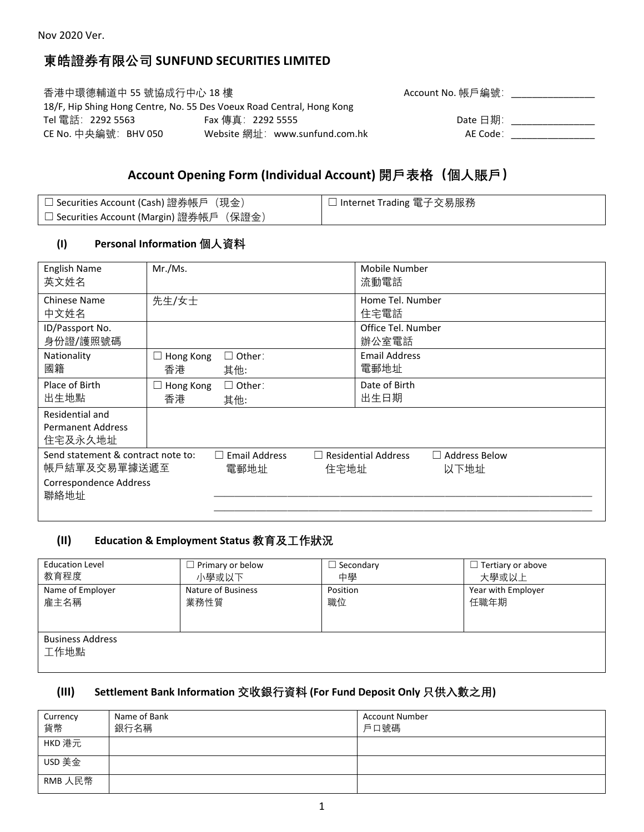## **東皓證券有限公司 SUNFUND SECURITIES LIMITED**

| 香港中環德輔道中 55 號協成行中心 18 樓                                               |                                | Account No. 帳戶編號: |  |
|-----------------------------------------------------------------------|--------------------------------|-------------------|--|
| 18/F, Hip Shing Hong Centre, No. 55 Des Voeux Road Central, Hong Kong |                                |                   |  |
| Tel 電話: 2292 5563                                                     | Fax 傳真: 2292 5555              | Date 日期:          |  |
| CE No. 中央編號: BHV 050                                                  | Website 網址: www.sunfund.com.hk | AE Code:          |  |

## **Account Opening Form (Individual Account) 開戶表格(個人賬戶)**

| □ Securities Account (Cash) 證券帳戶 (現金)   | ┃□ Internet Trading 電子交易服務 |
|-----------------------------------------|----------------------------|
| □ Securities Account (Margin) 證券帳戶(保證金) |                            |

#### **(I) Personal Information 個人資料**

| <b>English Name</b><br>英文姓名                                                          | Mr./Ms.         |                              |      | Mobile Number<br>流動電話        |                                 |
|--------------------------------------------------------------------------------------|-----------------|------------------------------|------|------------------------------|---------------------------------|
| Chinese Name<br>中文姓名                                                                 | 先生/女士           |                              |      | Home Tel. Number<br>住宅電話     |                                 |
| ID/Passport No.<br>身份證/護照號碼                                                          |                 |                              |      | Office Tel. Number<br>辦公室電話  |                                 |
| Nationality<br>國籍                                                                    | Hong Kong<br>香港 | $\Box$ Other:<br>其他:         |      | <b>Email Address</b><br>電郵地址 |                                 |
| Place of Birth<br>出生地點                                                               | Hong Kong<br>香港 | $\Box$ Other:<br>其他:         |      | Date of Birth<br>出生日期        |                                 |
| Residential and<br><b>Permanent Address</b><br>住宅及永久地址                               |                 |                              |      |                              |                                 |
| Send statement & contract note to:<br>帳戶結單及交易單據送遞至<br>Correspondence Address<br>聯絡地址 |                 | <b>Email Address</b><br>電郵地址 | 住宅地址 | <b>Residential Address</b>   | $\square$ Address Below<br>以下地址 |

## **(II) Education & Employment Status 教育及工作狀況**

| <b>Education Level</b>          | $\Box$ Primary or below | $\Box$ Secondary | $\Box$ Tertiary or above |
|---------------------------------|-------------------------|------------------|--------------------------|
| 教育程度                            | 小學或以下                   | 中學               | 大學或以上                    |
| Name of Employer                | Nature of Business      | Position         | Year with Employer       |
| 雇主名稱                            | 業務性質                    | 職位               | 任職年期                     |
| <b>Business Address</b><br>工作地點 |                         |                  |                          |

### **(III) Settlement Bank Information 交收銀行資料 (For Fund Deposit Only 只供入數之用)**

| Currency<br>貨幣 | Name of Bank<br>銀行名稱 | <b>Account Number</b><br>戶口號碼 |
|----------------|----------------------|-------------------------------|
| HKD 港元         |                      |                               |
| USD 美金         |                      |                               |
| RMB 人民幣        |                      |                               |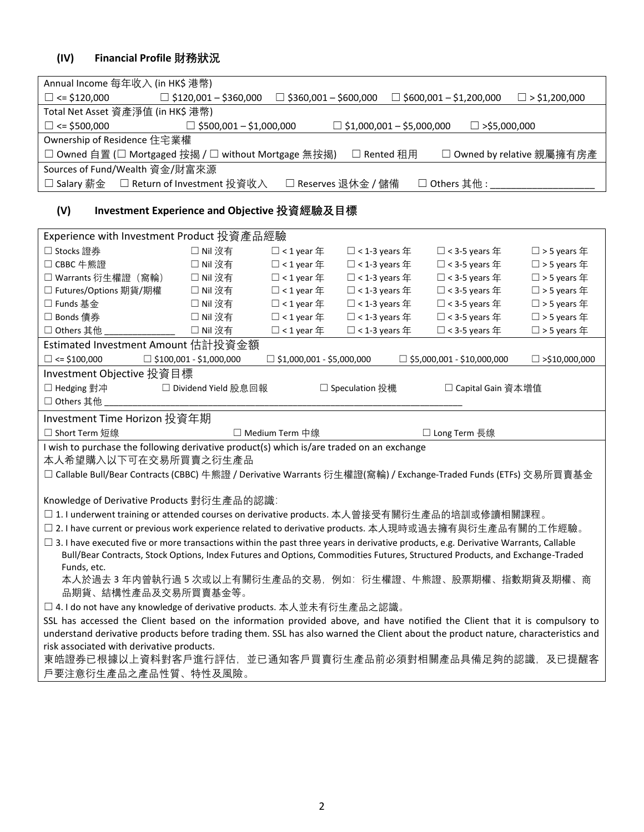# **(IV) Financial Profile 財務狀況**

| Annual Income 每年收入 (in HK\$ 港幣)   |                                                      |                              |                                                         |                            |
|-----------------------------------|------------------------------------------------------|------------------------------|---------------------------------------------------------|----------------------------|
| $\Box$ <= \$120,000               | $\Box$ \$120,001 - \$360,000                         | $\Box$ \$360,001 - \$600,000 | $\Box$ \$600,001 - \$1,200,000                          | $\Box$ > \$1,200,000       |
| Total Net Asset 資產淨值 (in HK\$ 港幣) |                                                      |                              |                                                         |                            |
| $\Box$ <= \$500,000               | $\Box$ \$500,001 - \$1,000,000                       |                              | $\Box$ \$1,000,001 - \$5,000,000<br>$\Box$ >\$5,000,000 |                            |
| Ownership of Residence 住宅業權       |                                                      |                              |                                                         |                            |
|                                   | □ Owned 自置 (□ Mortgaged 按揭 / □ without Mortgage 無按揭) | □ Rented 租用                  |                                                         | □ Owned by relative 親屬擁有房產 |
| Sources of Fund/Wealth 資金/財富來源    |                                                      |                              |                                                         |                            |
|                                   | □ Salary 薪金 □ Return of Investment 投資收入              | □ Reserves 退休金 / 儲備          | □ Others 其他:                                            |                            |

## **(V) Investment Experience and Objective 投資經驗及目標**

| Experience with Investment Product 投資產品經驗                                                                                                   |                                |                                  |                               |                                   |                                |
|---------------------------------------------------------------------------------------------------------------------------------------------|--------------------------------|----------------------------------|-------------------------------|-----------------------------------|--------------------------------|
| □ Stocks 證券                                                                                                                                 | □ Nil 沒有                       | $\Box$ < 1 year 年                | $\Box$ < 1-3 years $\text{E}$ | $\Box$ < 3-5 years $\pm$          | $\square$ > 5 years $\text{f}$ |
| □ CBBC 牛熊證                                                                                                                                  | □ Nil 沒有                       | $\Box$ < 1 year 年                | $\Box$ < 1-3 years $\text{E}$ | $\Box$ < 3-5 years $\text{E}$     | $\square$ > 5 years $\text{f}$ |
| □ Warrants 衍生權證 (窩輪)                                                                                                                        | □ Nil 沒有                       | $\Box$ < 1 year 年                | $\Box$ < 1-3 years $\text{E}$ | $\Box$ < 3-5 years $\text{E}$     | $\square$ > 5 years $\text{f}$ |
| □ Futures/Options 期貨/期權                                                                                                                     | □ Nil 沒有                       | $\Box$ < 1 year 年                | $\Box$ < 1-3 years $\text{E}$ | $\Box$ < 3-5 years $\text{E}$     | $\square$ > 5 years $\text{f}$ |
| □ Funds 基金                                                                                                                                  | □ Nil 沒有                       | $\Box$ < 1 year 年                | $\Box$ < 1-3 years $\text{E}$ | $\Box$ < 3-5 years $\text{E}$     | $\square$ > 5 years $\text{f}$ |
| □ Bonds 債券                                                                                                                                  | □ Nil 沒有                       | $\Box$ < 1 year 年                | $\Box$ < 1-3 years $\text{E}$ | $\Box$ < 3-5 years $\text{E}$     | $\square$ > 5 years $\text{f}$ |
| □ Others 其他                                                                                                                                 | □ Nil 沒有                       | $\Box$ < 1 year 年                | $\Box$ < 1-3 years $\text{E}$ | $\Box$ < 3-5 years $\text{E}$     | $\square$ > 5 years $\text{d}$ |
| Estimated Investment Amount 估計投資金額                                                                                                          |                                |                                  |                               |                                   |                                |
| $\Box$ <= \$100,000                                                                                                                         | $\Box$ \$100,001 - \$1,000,000 | $\Box$ \$1,000,001 - \$5,000,000 |                               | $\Box$ \$5,000,001 - \$10,000,000 | $\Box$ >\$10,000,000           |
| Investment Objective 投資目標                                                                                                                   |                                |                                  |                               |                                   |                                |
| □ Hedging 對冲                                                                                                                                | □ Dividend Yield 股息回報          |                                  | □ Speculation 投機              | □ Capital Gain 資本增值               |                                |
| □ Others 其他                                                                                                                                 |                                |                                  |                               |                                   |                                |
| Investment Time Horizon 投資年期                                                                                                                |                                |                                  |                               |                                   |                                |
| □ Short Term 短缐                                                                                                                             |                                | □ Medium Term 中缐                 |                               | □ Long Term 長缐                    |                                |
| I wish to purchase the following derivative product(s) which is/are traded on an exchange                                                   |                                |                                  |                               |                                   |                                |
| 本人希望購入以下可在交易所買賣之衍生產品                                                                                                                        |                                |                                  |                               |                                   |                                |
| □ Callable Bull/Bear Contracts (CBBC) 牛熊證 / Derivative Warrants 衍生權證(窩輪) / Exchange-Traded Funds (ETFs) 交易所買賣基金                             |                                |                                  |                               |                                   |                                |
|                                                                                                                                             |                                |                                  |                               |                                   |                                |
| Knowledge of Derivative Products 對衍生產品的認識:                                                                                                  |                                |                                  |                               |                                   |                                |
| □ 1. I underwent training or attended courses on derivative products. 本人曾接受有關衍生產品的培訓或修讀相關課程。                                                |                                |                                  |                               |                                   |                                |
| □ 2. I have current or previous work experience related to derivative products. 本人現時或過去擁有與衍生產品有關的工作經驗。                                      |                                |                                  |                               |                                   |                                |
| $\Box$ 3. I have executed five or more transactions within the past three years in derivative products, e.g. Derivative Warrants, Callable  |                                |                                  |                               |                                   |                                |
|                                                                                                                                             |                                |                                  |                               |                                   |                                |
| Bull/Bear Contracts, Stock Options, Index Futures and Options, Commodities Futures, Structured Products, and Exchange-Traded<br>Funds, etc. |                                |                                  |                               |                                   |                                |
| 本人於過去 3 年内曾執行過 5 次或以上有關衍生產品的交易,例如:衍生權證、牛熊證、股票期權、指數期貨及期權、商                                                                                   |                                |                                  |                               |                                   |                                |
| 品期貨、結構性產品及交易所買賣基金等。                                                                                                                         |                                |                                  |                               |                                   |                                |
| □ 4. I do not have any knowledge of derivative products. 本人並未有衍生產品之認識。                                                                      |                                |                                  |                               |                                   |                                |
| SSL has accessed the Client based on the information provided above, and have notified the Client that it is compulsory to                  |                                |                                  |                               |                                   |                                |
| understand derivative products before trading them. SSL has also warned the Client about the product nature, characteristics and            |                                |                                  |                               |                                   |                                |
| risk associated with derivative products.                                                                                                   |                                |                                  |                               |                                   |                                |
| 東皓證券已根據以上資料對客戶進行評估,並已通知客戶買賣衍生產品前必須對相關產品具備足夠的認識,及已提醒客                                                                                        |                                |                                  |                               |                                   |                                |
| 戶要注意衍生產品之產品性質、特性及風險。                                                                                                                        |                                |                                  |                               |                                   |                                |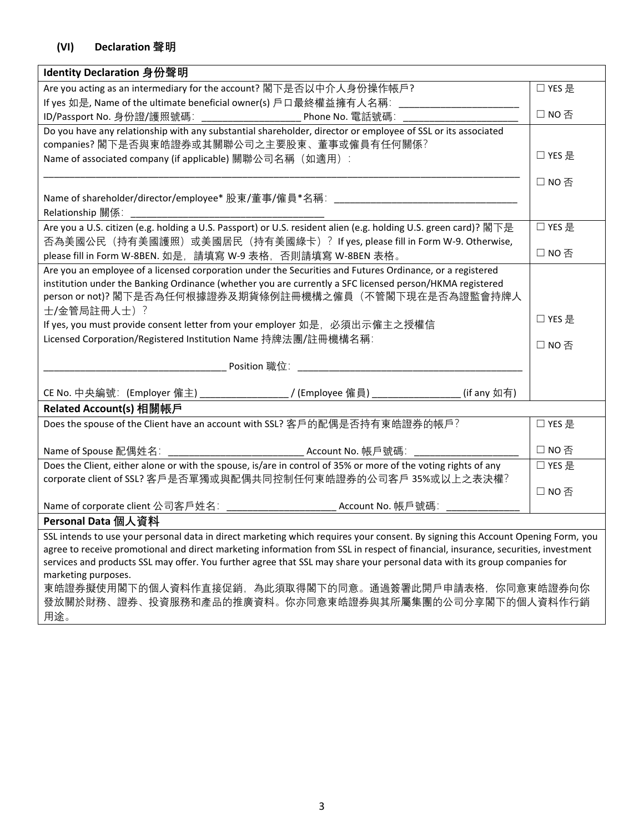### **(VI) Declaration 聲明**

| Identity Declaration 身份聲明                                                                                                         |         |
|-----------------------------------------------------------------------------------------------------------------------------------|---------|
| Are you acting as an intermediary for the account? 閣下是否以中介人身份操作帳戶?                                                                | □ YES 是 |
| If yes 如是, Name of the ultimate beneficial owner(s) 戶口最終權益擁有人名稱:                                                                  |         |
| ID/Passport No. 身份證/護照號碼:                                                                                                         | □NO否    |
| Do you have any relationship with any substantial shareholder, director or employee of SSL or its associated                      |         |
| companies? 閣下是否與東皓證券或其關聯公司之主要股東、董事或僱員有任何關係?                                                                                       |         |
| Name of associated company (if applicable) 關聯公司名稱 (如適用):                                                                          | □ YES 是 |
|                                                                                                                                   |         |
|                                                                                                                                   | □NO否    |
| Name of shareholder/director/employee* 股東/董事/僱員*名稱:                                                                               |         |
| Relationship 關係:                                                                                                                  |         |
| Are you a U.S. citizen (e.g. holding a U.S. Passport) or U.S. resident alien (e.g. holding U.S. green card)? 閣下是                  | □ YES 是 |
| 否為美國公民(持有美國護照)或美國居民(持有美國綠卡)? If yes, please fill in Form W-9. Otherwise,                                                          |         |
| please fill in Form W-8BEN. 如是, 請填寫 W-9 表格, 否則請填寫 W-8BEN 表格。                                                                      | □NO否    |
| Are you an employee of a licensed corporation under the Securities and Futures Ordinance, or a registered                         |         |
| institution under the Banking Ordinance (whether you are currently a SFC licensed person/HKMA registered                          |         |
| person or not)? 閣下是否為任何根據證券及期貨條例註冊機構之僱員(不管閣下現在是否為證監會持牌人                                                                           |         |
| 士/金管局註冊人士)?                                                                                                                       |         |
| If yes, you must provide consent letter from your employer 如是, 必須出示僱主之授權信                                                         | □ YES 是 |
| Licensed Corporation/Registered Institution Name 持牌法團/註冊機構名稱:                                                                     | □NO否    |
|                                                                                                                                   |         |
| Position 職位:                                                                                                                      |         |
|                                                                                                                                   |         |
| / (Employee 僱員)<br>(if any 如有)<br>CE No. 中央編號: (Employer 僱主) __                                                                   |         |
| Related Account(s) 相關帳戶                                                                                                           |         |
| Does the spouse of the Client have an account with SSL? 客戶的配偶是否持有東皓證券的帳戶?                                                         | □ YES 是 |
|                                                                                                                                   |         |
| Name of Spouse 配偶姓名:<br>_ Account No. 帳戶號碼:                                                                                       | □NO否    |
| Does the Client, either alone or with the spouse, is/are in control of 35% or more of the voting rights of any                    | □ YES 是 |
| corporate client of SSL? 客戶是否單獨或與配偶共同控制任何東皓證券的公司客戶 35%或以上之表決權?                                                                    |         |
|                                                                                                                                   | □NO否    |
| Name of corporate client 公司客戶姓名:<br>__ Account No. 帳戶號碼:                                                                          |         |
| Personal Data 個人資料                                                                                                                |         |
| SSL intends to use your personal data in direct marketing which requires your consent. By signing this Account Opening Form, you  |         |
| agree to receive promotional and direct marketing information from SSL in respect of financial, insurance, securities, investment |         |
| services and products SSL may offer. You further agree that SSL may share your personal data with its group companies for         |         |
| marketing purposes.                                                                                                               |         |
| 東皓證券擬使用閣下的個人資料作直接促銷,為此須取得閣下的同意。通過簽署此開戶申請表格,你同意東皓證券向你                                                                              |         |
| 發放關於財務、證券、投資服務和產品的推廣資料。你亦同意東皓證券與其所屬集團的公司分享閣下的個人資料作行銷                                                                              |         |

贺放<sup><br>用途。</sup>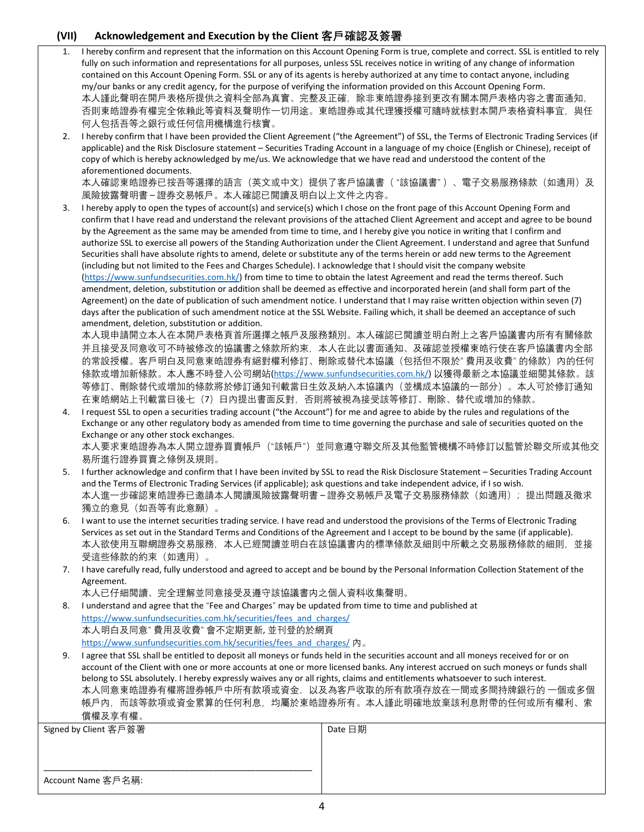#### **(VII) Acknowledgement and Execution by the Client 客戶確認及簽署**

- 1. I hereby confirm and represent that the information on this Account Opening Form is true, complete and correct. SSL is entitled to rely fully on such information and representations for all purposes, unless SSL receives notice in writing of any change of information contained on this Account Opening Form. SSL or any of its agents is hereby authorized at any time to contact anyone, including my/our banks or any credit agency, for the purpose of verifying the information provided on this Account Opening Form. 本人謹此聲明在開戶表格所提供之資料全部為真實、完整及正確,除非東皓證券接到更改有關本開戶表格内容之書面通知, 否則東皓證券有權完全依賴此等資料及聲明作一切用途。東皓證券或其代理獲授權可隨時就核對本開戶表格資料事宜,與任 何人包括吾等之銀行或任何信用機構進行核實。
- 2. I hereby confirm that I have been provided the Client Agreement ("the Agreement") of SSL, the Terms of Electronic Trading Services (if applicable) and the Risk Disclosure statement – Securities Trading Account in a language of my choice (English or Chinese), receipt of copy of which is hereby acknowledged by me/us. We acknowledge that we have read and understood the content of the aforementioned documents.

本人確認東皓證券已按吾等選擇的語言(英文或中文)提供了客戶協議書("該協議書" )、電子交易服務條款(如適用)及 風險披露聲明書 – 證券交易帳戶。本人確認已閲讀及明白以上文件之内容。

3. I hereby apply to open the types of account(s) and service(s) which I chose on the front page of this Account Opening Form and confirm that I have read and understand the relevant provisions of the attached Client Agreement and accept and agree to be bound by the Agreement as the same may be amended from time to time, and I hereby give you notice in writing that I confirm and authorize SSL to exercise all powers of the Standing Authorization under the Client Agreement. I understand and agree that Sunfund Securities shall have absolute rights to amend, delete or substitute any of the terms herein or add new terms to the Agreement (including but not limited to the Fees and Charges Schedule). I acknowledge that I should visit the company website [\(https://www.sunfundsecurities.com.hk/\)](https://www.sunfundsecurities.com.hk/) from time to time to obtain the latest Agreement and read the terms thereof. Such amendment, deletion, substitution or addition shall be deemed as effective and incorporated herein (and shall form part of the Agreement) on the date of publication of such amendment notice. I understand that I may raise written objection within seven (7) days after the publication of such amendment notice at the SSL Website. Failing which, it shall be deemed an acceptance of such amendment, deletion, substitution or addition.

本人現申請開立本人在本開戶表格頁首所選擇之帳戶及服務類別。本人確認已閲讀並明白附上之客戶協議書内所有有關條款 并且接受及同意收可不時被修改的協議書之條款所約束,本人在此以書面通知、及確認並授權東皓行使在客戶協議書内全部 的常設授權。客戶明白及同意東皓證券有絕對權利修訂、刪除或替代本協議(包括但不限於" 費用及收費" 的條款)內的任何 條款或增加新條款。本人應不時登入公司網站[\(https://www.sunfundsecurities.com.hk/\)](https://www.sunfundsecurities.com.hk/) 以獲得最新之本協議並細閱其條款。該 等修訂、刪除替代或增加的條款將於修訂通知刊載當日生效及納入本協議內(並構成本協議的一部分)。本人可於修訂通知 在東皓網站上刊載當日後七(7)日內提出書面反對,否則將被視為接受該等修訂、刪除、替代或增加的條款。

4. I request SSL to open a securities trading account ("the Account") for me and agree to abide by the rules and regulations of the Exchange or any other regulatory body as amended from time to time governing the purchase and sale of securities quoted on the Exchange or any other stock exchanges.

本人要求東皓證券為本人開立證券買賣帳戶("該帳戶")並同意遵守聯交所及其他監管機構不時修訂以監管於聯交所或其他交 易所進行證券買賣之條例及規則。

- 5. I further acknowledge and confirm that I have been invited by SSL to read the Risk Disclosure Statement Securities Trading Account and the Terms of Electronic Trading Services (if applicable); ask questions and take independent advice, if I so wish. 本人進一步確認東皓證券已邀請本人閲讀風險披露聲明書 – 證券交易帳戶及電子交易服務條款(如適用);提出問題及徵求 獨立的意見(如吾等有此意願)。
- 6. I want to use the internet securities trading service. I have read and understood the provisions of the Terms of Electronic Trading Services as set out in the Standard Terms and Conditions of the Agreement and I accept to be bound by the same (if applicable). 本人欲使用互聯網證券交易服務,本人已經閲讀並明白在該協議書内的標準條款及細則中所載之交易服務條款的細則,並接 受這些條款的約束(如適用)。
- 7. I have carefully read, fully understood and agreed to accept and be bound by the Personal Information Collection Statement of the Agreement.

本人已仔細閲讀、完全理解並同意接受及遵守該協議書内之個人資料收集聲明。

8. I understand and agree that the "Fee and Charges" may be updated from time to time and published at [https://www.sunfundsecurities.com.hk/securities/fees\\_and\\_charges/](https://www.sunfundsecurities.com.hk/securities/fees_and_charges/) 本人明白及同意" 費用及收費" 會不定期更新, 並刊登的於網頁

[https://www.sunfundsecurities.com.hk/securities/fees\\_and\\_charges/](https://www.sunfundsecurities.com.hk/securities/fees_and_charges/) 內。

9. I agree that SSL shall be entitled to deposit all moneys or funds held in the securities account and all moneys received for or on account of the Client with one or more accounts at one or more licensed banks. Any interest accrued on such moneys or funds shall belong to SSL absolutely. I hereby expressly waives any or all rights, claims and entitlements whatsoever to such interest. 本人同意東皓證券有權將證券帳戶中所有款項或資金,以及為客戶收取的所有款項存放在一間或多間持牌銀行的 一個或多個 帳戶內,而該等款項或資金累算的任何利息,均屬於東皓證券所有。本人謹此明確地放棄該利息附帶的任何或所有權利、索 償權及享有權。

| Signed by Client 客戶簽署 | Date 日期 |
|-----------------------|---------|
|                       |         |
|                       |         |
| Account Name 客戶名稱:    |         |